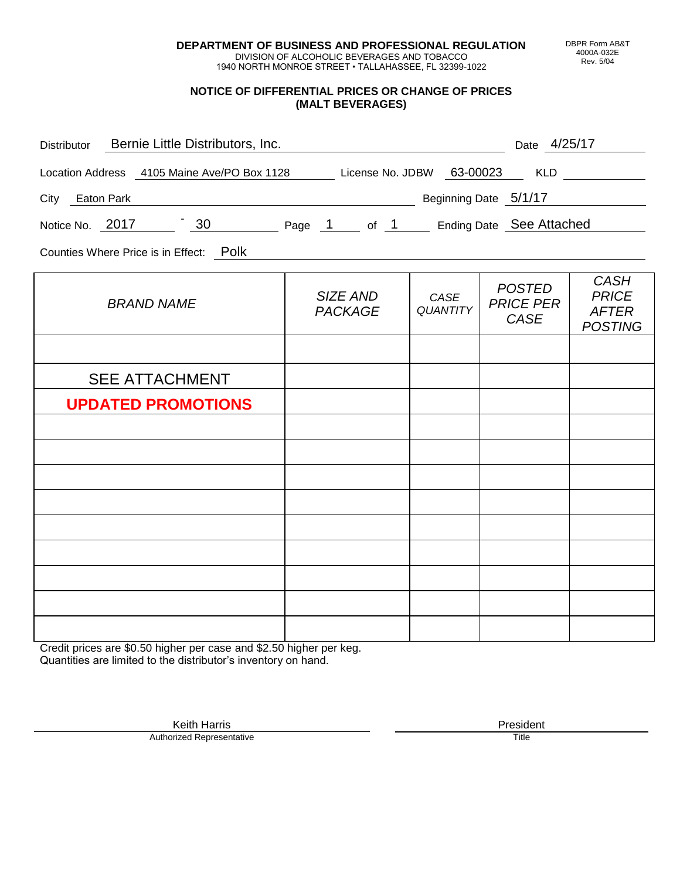**DEPARTMENT OF BUSINESS AND PROFESSIONAL REGULATION** DIVISION OF ALCOHOLIC BEVERAGES AND TOBACCO

1940 NORTH MONROE STREET • TALLAHASSEE, FL 32399-1022

#### **NOTICE OF DIFFERENTIAL PRICES OR CHANGE OF PRICES (MALT BEVERAGES)**

| Distributor Bernie Little Distributors, Inc.                              |                                   |                         | Date 4/25/17                                     |                                                               |
|---------------------------------------------------------------------------|-----------------------------------|-------------------------|--------------------------------------------------|---------------------------------------------------------------|
| Location Address 4105 Maine Ave/PO Box 1128 License No. JDBW 63-00023 KLD |                                   |                         |                                                  |                                                               |
| Beginning Date 5/1/17<br>City Eaton Park                                  |                                   |                         |                                                  |                                                               |
| Notice No. 2017 30 Page 1 of 1 Ending Date See Attached                   |                                   |                         |                                                  |                                                               |
| Counties Where Price is in Effect: Polk                                   |                                   |                         |                                                  |                                                               |
| <b>BRAND NAME</b>                                                         | <b>SIZE AND</b><br><b>PACKAGE</b> | CASE<br><b>QUANTITY</b> | <b>POSTED</b><br><b>PRICE PER</b><br><b>CASE</b> | <b>CASH</b><br><b>PRICE</b><br><b>AFTER</b><br><b>POSTING</b> |
|                                                                           |                                   |                         |                                                  |                                                               |
| <b>SEE ATTACHMENT</b>                                                     |                                   |                         |                                                  |                                                               |
| <b>UPDATED PROMOTIONS</b>                                                 |                                   |                         |                                                  |                                                               |
|                                                                           |                                   |                         |                                                  |                                                               |
|                                                                           |                                   |                         |                                                  |                                                               |
|                                                                           |                                   |                         |                                                  |                                                               |
|                                                                           |                                   |                         |                                                  |                                                               |
|                                                                           |                                   |                         |                                                  |                                                               |
|                                                                           |                                   |                         |                                                  |                                                               |
|                                                                           |                                   |                         |                                                  |                                                               |
|                                                                           |                                   |                         |                                                  |                                                               |

Credit prices are \$0.50 higher per case and \$2.50 higher per keg. Quantities are limited to the distributor's inventory on hand.

> Keith Harris **President** President **President** President **President** President **President** Authorized Representative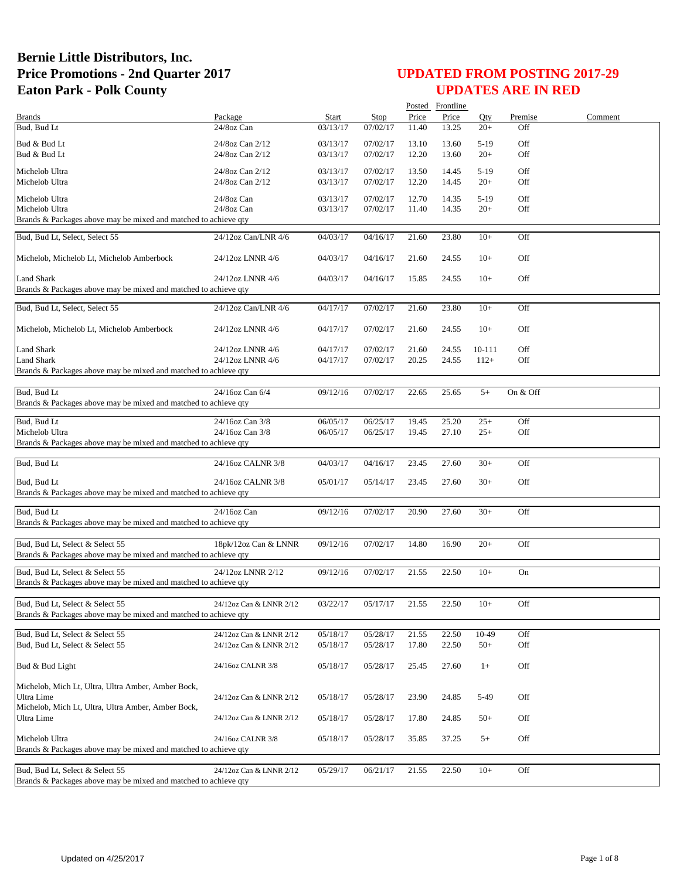|                                                                 |                                      |                      |                      |                | Posted Frontline |                  |            |         |
|-----------------------------------------------------------------|--------------------------------------|----------------------|----------------------|----------------|------------------|------------------|------------|---------|
| <b>Brands</b>                                                   | Package                              | Start                | <b>Stop</b>          | Price          | Price            | Oty              | Premise    | Comment |
| Bud, Bud Lt                                                     | 24/8oz Can                           | 03/13/17             | 07/02/17             | 11.40          | 13.25            | $20+$            | Off        |         |
| Bud & Bud Lt                                                    | 24/8oz Can 2/12                      | 03/13/17             | 07/02/17             | 13.10          | 13.60            | $5-19$           | Off        |         |
| Bud & Bud Lt                                                    | 24/8oz Can 2/12                      | 03/13/17             | 07/02/17             | 12.20          | 13.60            | $20+$            | Off        |         |
|                                                                 |                                      |                      |                      |                |                  |                  |            |         |
| Michelob Ultra                                                  | 24/8oz Can 2/12                      | 03/13/17             | 07/02/17             | 13.50          | 14.45            | $5-19$           | Off        |         |
| Michelob Ultra                                                  | 24/8oz Can 2/12                      | 03/13/17             | 07/02/17             | 12.20          | 14.45            | $20+$            | Off        |         |
| Michelob Ultra                                                  | 24/8oz Can                           | 03/13/17             | 07/02/17             | 12.70          | 14.35            | $5-19$           | Off        |         |
| Michelob Ultra                                                  | 24/8oz Can                           | 03/13/17             | 07/02/17             | 11.40          | 14.35            | $20+$            | Off        |         |
| Brands & Packages above may be mixed and matched to achieve qty |                                      |                      |                      |                |                  |                  |            |         |
| Bud, Bud Lt, Select, Select 55                                  | 24/12oz Can/LNR 4/6                  | 04/03/17             | 04/16/17             | 21.60          | 23.80            | $10+$            | Off        |         |
|                                                                 |                                      |                      |                      |                |                  |                  |            |         |
| Michelob, Michelob Lt, Michelob Amberbock                       | 24/12oz LNNR 4/6                     | 04/03/17             | 04/16/17             | 21.60          | 24.55            | $10+$            | Off        |         |
|                                                                 |                                      |                      |                      |                |                  |                  |            |         |
| Land Shark                                                      | 24/12oz LNNR 4/6                     | 04/03/17             | 04/16/17             | 15.85          | 24.55            | $10+$            | Off        |         |
| Brands & Packages above may be mixed and matched to achieve qty |                                      |                      |                      |                |                  |                  |            |         |
|                                                                 |                                      |                      |                      |                |                  |                  |            |         |
| Bud, Bud Lt, Select, Select 55                                  | 24/12oz Can/LNR 4/6                  | 04/17/17             | 07/02/17             | 21.60          | 23.80            | $10+$            | Off        |         |
|                                                                 |                                      |                      |                      |                |                  |                  |            |         |
| Michelob, Michelob Lt, Michelob Amberbock                       | 24/12oz LNNR 4/6                     | 04/17/17             | 07/02/17             | 21.60          | 24.55            | $10+$            | Off        |         |
| <b>Land Shark</b>                                               |                                      |                      |                      |                |                  |                  |            |         |
| <b>Land Shark</b>                                               | 24/12oz LNNR 4/6<br>24/12oz LNNR 4/6 | 04/17/17<br>04/17/17 | 07/02/17<br>07/02/17 | 21.60<br>20.25 | 24.55<br>24.55   | 10-111<br>$112+$ | Off<br>Off |         |
| Brands & Packages above may be mixed and matched to achieve qty |                                      |                      |                      |                |                  |                  |            |         |
|                                                                 |                                      |                      |                      |                |                  |                  |            |         |
| Bud, Bud Lt                                                     | 24/16oz Can 6/4                      | 09/12/16             | 07/02/17             | 22.65          | 25.65            | $5+$             | On & Off   |         |
| Brands & Packages above may be mixed and matched to achieve qty |                                      |                      |                      |                |                  |                  |            |         |
|                                                                 |                                      |                      |                      |                |                  |                  |            |         |
| Bud, Bud Lt                                                     | $\overline{24/16}$ oz Can 3/8        | 06/05/17             | 06/25/17             | 19.45          | 25.20            | $25+$            | Off        |         |
| Michelob Ultra                                                  | 24/16oz Can 3/8                      | 06/05/17             | 06/25/17             | 19.45          | 27.10            | $25+$            | Off        |         |
| Brands & Packages above may be mixed and matched to achieve qty |                                      |                      |                      |                |                  |                  |            |         |
|                                                                 |                                      |                      |                      |                |                  |                  |            |         |
| Bud, Bud Lt                                                     | 24/16oz CALNR 3/8                    | 04/03/17             | 04/16/17             | 23.45          | 27.60            | $30+$            | Off        |         |
| Bud, Bud Lt                                                     | 24/16oz CALNR 3/8                    | 05/01/17             | 05/14/17             | 23.45          | 27.60            | $30+$            | Off        |         |
| Brands & Packages above may be mixed and matched to achieve qty |                                      |                      |                      |                |                  |                  |            |         |
|                                                                 |                                      |                      |                      |                |                  |                  |            |         |
| Bud, Bud Lt                                                     | 24/16oz Can                          | 09/12/16             | 07/02/17             | 20.90          | 27.60            | $30+$            | Off        |         |
| Brands & Packages above may be mixed and matched to achieve qty |                                      |                      |                      |                |                  |                  |            |         |
|                                                                 |                                      |                      |                      |                |                  |                  |            |         |
| Bud, Bud Lt, Select & Select 55                                 | 18pk/12oz Can & LNNR                 | 09/12/16             | 07/02/17             | 14.80          | 16.90            | $20+$            | Off        |         |
| Brands & Packages above may be mixed and matched to achieve qty |                                      |                      |                      |                |                  |                  |            |         |
| Bud, Bud Lt, Select & Select 55                                 | 24/12oz LNNR 2/12                    | 09/12/16             | 07/02/17             | 21.55          | 22.50            | $10+$            | On         |         |
| Brands & Packages above may be mixed and matched to achieve qty |                                      |                      |                      |                |                  |                  |            |         |
|                                                                 |                                      |                      |                      |                |                  |                  |            |         |
| Bud, Bud Lt, Select & Select 55                                 | 24/12oz Can & LNNR 2/12              | 03/22/17             | 05/17/17             | 21.55          | 22.50            | $10+$            | Off        |         |
| Brands & Packages above may be mixed and matched to achieve qty |                                      |                      |                      |                |                  |                  |            |         |
|                                                                 |                                      |                      |                      |                |                  |                  |            |         |
| Bud, Bud Lt, Select & Select 55                                 | 24/12oz Can & LNNR 2/12              | 05/18/17             | 05/28/17             | 21.55          | 22.50            | 10-49            | Off        |         |
| Bud, Bud Lt, Select & Select 55                                 | 24/12oz Can & LNNR 2/12              | 05/18/17             | 05/28/17             | 17.80          | 22.50            | $50+$            | Off        |         |
|                                                                 |                                      |                      |                      |                |                  |                  |            |         |
| Bud & Bud Light                                                 | 24/16oz CALNR 3/8                    | 05/18/17             | 05/28/17             | 25.45          | 27.60            | $1+$             | Off        |         |
|                                                                 |                                      |                      |                      |                |                  |                  |            |         |
| Michelob, Mich Lt, Ultra, Ultra Amber, Amber Bock,              |                                      |                      |                      |                |                  |                  |            |         |
| Ultra Lime                                                      | 24/12oz Can & LNNR 2/12              | 05/18/17             | 05/28/17             | 23.90          | 24.85            | 5-49             | Off        |         |
| Michelob, Mich Lt, Ultra, Ultra Amber, Amber Bock,              |                                      |                      |                      |                |                  |                  |            |         |
| Ultra Lime                                                      | 24/12oz Can & LNNR 2/12              | 05/18/17             | 05/28/17             | 17.80          | 24.85            | $50+$            | Off        |         |
| Michelob Ultra                                                  | 24/16oz CALNR 3/8                    | 05/18/17             | 05/28/17             | 35.85          | 37.25            | $5+$             | Off        |         |
| Brands & Packages above may be mixed and matched to achieve qty |                                      |                      |                      |                |                  |                  |            |         |
|                                                                 |                                      |                      |                      |                |                  |                  |            |         |
| Bud, Bud Lt, Select & Select 55                                 | 24/12oz Can & LNNR 2/12              | 05/29/17             | 06/21/17             | 21.55          | 22.50            | $10+$            | Off        |         |
| Brands & Packages above may be mixed and matched to achieve qty |                                      |                      |                      |                |                  |                  |            |         |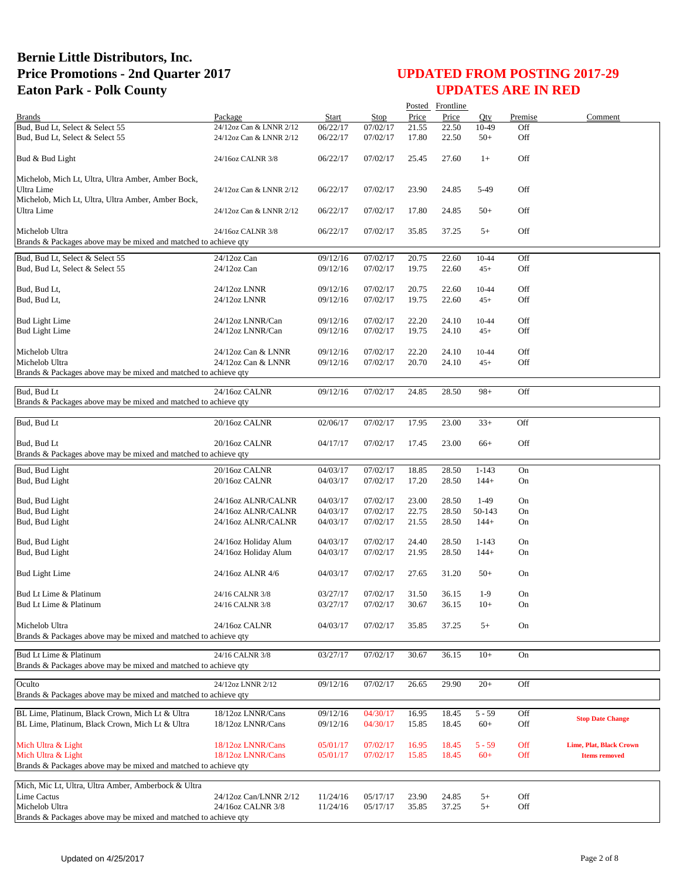|                                                                 |                                          |                      |                      |                | Posted Frontline |           |         |                                |
|-----------------------------------------------------------------|------------------------------------------|----------------------|----------------------|----------------|------------------|-----------|---------|--------------------------------|
| <b>Brands</b>                                                   | Package                                  | Start                | <b>Stop</b>          | Price          | Price            | Oty       | Premise | Comment                        |
| Bud, Bud Lt, Select & Select 55                                 | 24/12oz Can & LNNR 2/12                  | 06/22/17             | 07/02/17             | 21.55          | 22.50            | 10-49     | Off     |                                |
| Bud, Bud Lt, Select & Select 55                                 | 24/12oz Can & LNNR 2/12                  | 06/22/17             | 07/02/17             | 17.80          | 22.50            | $50+$     | Off     |                                |
| Bud & Bud Light                                                 | 24/16oz CALNR 3/8                        | 06/22/17             | 07/02/17             | 25.45          | 27.60            | $1+$      | Off     |                                |
| Michelob, Mich Lt, Ultra, Ultra Amber, Amber Bock,              |                                          |                      |                      |                |                  |           |         |                                |
| Ultra Lime                                                      | 24/12oz Can & LNNR 2/12                  | 06/22/17             | 07/02/17             | 23.90          | 24.85            | 5-49      | Off     |                                |
| Michelob, Mich Lt, Ultra, Ultra Amber, Amber Bock,              |                                          |                      |                      |                |                  |           |         |                                |
| Ultra Lime                                                      | 24/12oz Can & LNNR 2/12                  | 06/22/17             | 07/02/17             | 17.80          | 24.85            | $50+$     | Off     |                                |
| Michelob Ultra                                                  | 24/16oz CALNR 3/8                        | 06/22/17             | 07/02/17             | 35.85          | 37.25            | $5+$      | Off     |                                |
| Brands & Packages above may be mixed and matched to achieve qty |                                          |                      |                      |                |                  |           |         |                                |
| Bud, Bud Lt, Select & Select 55                                 | 24/12oz Can                              | 09/12/16             | 07/02/17             | 20.75          | 22.60            | 10-44     | Off     |                                |
| Bud, Bud Lt, Select & Select 55                                 | 24/12oz Can                              | 09/12/16             | 07/02/17             | 19.75          | 22.60            | $45+$     | Off     |                                |
| Bud, Bud Lt,                                                    | 24/12oz LNNR                             | 09/12/16             | 07/02/17             | 20.75          | 22.60            | 10-44     | Off     |                                |
| Bud, Bud Lt,                                                    | 24/12oz LNNR                             | 09/12/16             | 07/02/17             | 19.75          | 22.60            | $45+$     | Off     |                                |
|                                                                 |                                          |                      |                      |                |                  |           |         |                                |
| <b>Bud Light Lime</b>                                           | 24/12oz LNNR/Can                         | 09/12/16             | 07/02/17             | 22.20          | 24.10            | 10-44     | Off     |                                |
| <b>Bud Light Lime</b>                                           | 24/12oz LNNR/Can                         | 09/12/16             | 07/02/17             | 19.75          | 24.10            | $45+$     | Off     |                                |
|                                                                 |                                          |                      |                      |                |                  |           |         |                                |
| Michelob Ultra                                                  | 24/12oz Can & LNNR                       | 09/12/16             | 07/02/17             | 22.20          | 24.10            | $10-44$   | Off     |                                |
| Michelob Ultra                                                  | 24/12oz Can & LNNR                       | 09/12/16             | 07/02/17             | 20.70          | 24.10            | $45+$     | Off     |                                |
| Brands & Packages above may be mixed and matched to achieve qty |                                          |                      |                      |                |                  |           |         |                                |
| Bud, Bud Lt                                                     | 24/16oz CALNR                            | 09/12/16             | 07/02/17             | 24.85          | 28.50            | $98+$     | Off     |                                |
| Brands & Packages above may be mixed and matched to achieve qty |                                          |                      |                      |                |                  |           |         |                                |
|                                                                 |                                          |                      |                      |                |                  |           |         |                                |
| Bud, Bud Lt                                                     | 20/16oz CALNR                            | 02/06/17             | 07/02/17             | 17.95          | 23.00            | $33+$     | Off     |                                |
| Bud, Bud Lt                                                     | 20/16oz CALNR                            | 04/17/17             | 07/02/17             | 17.45          | 23.00            | $66+$     | Off     |                                |
| Brands & Packages above may be mixed and matched to achieve qty |                                          |                      |                      |                |                  |           |         |                                |
|                                                                 |                                          |                      |                      |                |                  |           |         |                                |
| Bud, Bud Light                                                  | 20/16oz CALNR                            | 04/03/17             | 07/02/17             | 18.85          | 28.50            | $1 - 143$ | On      |                                |
| Bud, Bud Light                                                  | 20/16oz CALNR                            | 04/03/17             | 07/02/17             | 17.20          | 28.50            | $144+$    | On      |                                |
|                                                                 |                                          |                      |                      |                |                  | $1-49$    | On      |                                |
| Bud, Bud Light<br>Bud, Bud Light                                | 24/16oz ALNR/CALNR<br>24/16oz ALNR/CALNR | 04/03/17<br>04/03/17 | 07/02/17<br>07/02/17 | 23.00<br>22.75 | 28.50<br>28.50   | 50-143    | On      |                                |
| Bud, Bud Light                                                  | 24/16oz ALNR/CALNR                       | 04/03/17             | 07/02/17             | 21.55          | 28.50            | $144+$    | On      |                                |
|                                                                 |                                          |                      |                      |                |                  |           |         |                                |
| Bud, Bud Light                                                  | 24/16oz Holiday Alum                     | 04/03/17             | 07/02/17             | 24.40          | 28.50            | $1 - 143$ | On      |                                |
| Bud, Bud Light                                                  | 24/16oz Holiday Alum                     | 04/03/17             | 07/02/17             | 21.95          | 28.50            | $144+$    | On      |                                |
|                                                                 |                                          |                      |                      |                |                  |           |         |                                |
| <b>Bud Light Lime</b>                                           | 24/16oz ALNR 4/6                         | 04/03/17             | 07/02/17             | 27.65          | 31.20            | $50+$     | On      |                                |
| Bud Lt Lime & Platinum                                          | 24/16 CALNR 3/8                          |                      |                      |                |                  | $1-9$     | On      |                                |
| Bud Lt Lime & Platinum                                          | 24/16 CALNR 3/8                          | 03/27/17<br>03/27/17 | 07/02/17<br>07/02/17 | 31.50<br>30.67 | 36.15<br>36.15   | $10+$     | On      |                                |
|                                                                 |                                          |                      |                      |                |                  |           |         |                                |
| Michelob Ultra                                                  | 24/16oz CALNR                            | 04/03/17             | 07/02/17             | 35.85          | 37.25            | $5+$      | On      |                                |
| Brands & Packages above may be mixed and matched to achieve qty |                                          |                      |                      |                |                  |           |         |                                |
|                                                                 |                                          |                      |                      |                |                  |           |         |                                |
| Bud Lt Lime & Platinum                                          | 24/16 CALNR 3/8                          | 03/27/17             | 07/02/17             | 30.67          | 36.15            | $10+$     | On      |                                |
| Brands & Packages above may be mixed and matched to achieve qty |                                          |                      |                      |                |                  |           |         |                                |
| Oculto                                                          | 24/12oz LNNR 2/12                        | 09/12/16             | 07/02/17             | 26.65          | 29.90            | $20+$     | Off     |                                |
| Brands & Packages above may be mixed and matched to achieve qty |                                          |                      |                      |                |                  |           |         |                                |
|                                                                 |                                          |                      |                      |                |                  |           |         |                                |
| BL Lime, Platinum, Black Crown, Mich Lt & Ultra                 | 18/12oz LNNR/Cans                        | 09/12/16             | 04/30/17             | 16.95          | 18.45            | $5 - 59$  | Off     | <b>Stop Date Change</b>        |
| BL Lime, Platinum, Black Crown, Mich Lt & Ultra                 | 18/12oz LNNR/Cans                        | 09/12/16             | 04/30/17             | 15.85          | 18.45            | $60+$     | Off     |                                |
| Mich Ultra & Light                                              | 18/12oz LNNR/Cans                        | 05/01/17             | 07/02/17             | 16.95          | 18.45            | $5 - 59$  | Off     | <b>Lime, Plat, Black Crown</b> |
| Mich Ultra & Light                                              | 18/12oz LNNR/Cans                        | 05/01/17             | 07/02/17             | 15.85          | 18.45            | $60+$     | Off     | <b>Items removed</b>           |
| Brands & Packages above may be mixed and matched to achieve qty |                                          |                      |                      |                |                  |           |         |                                |
|                                                                 |                                          |                      |                      |                |                  |           |         |                                |
| Mich, Mic Lt, Ultra, Ultra Amber, Amberbock & Ultra             |                                          |                      |                      |                |                  |           |         |                                |
| Lime Cactus                                                     | 24/12oz Can/LNNR 2/12                    | 11/24/16             | 05/17/17             | 23.90          | 24.85            | $5+$      | Off     |                                |
| Michelob Ultra                                                  | 24/16oz CALNR 3/8                        | 11/24/16             | 05/17/17             | 35.85          | 37.25            | $5+$      | Off     |                                |
| Brands & Packages above may be mixed and matched to achieve qty |                                          |                      |                      |                |                  |           |         |                                |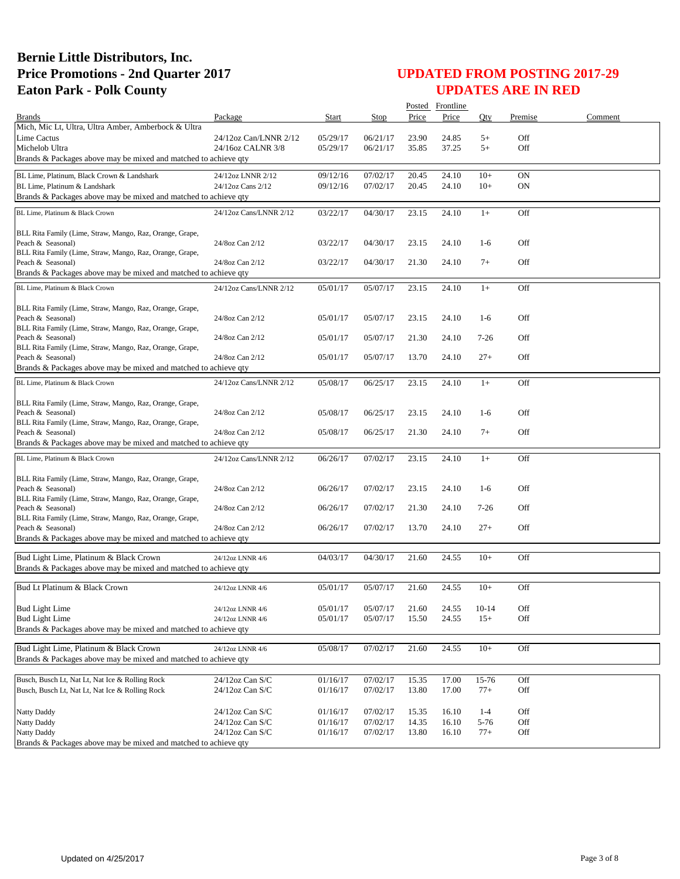|                                                                               |                                      |                      |                      |                | Posted Frontline |                  |            |         |
|-------------------------------------------------------------------------------|--------------------------------------|----------------------|----------------------|----------------|------------------|------------------|------------|---------|
| <b>Brands</b>                                                                 | Package                              | Start                | Stop                 | Price          | Price            | Oty              | Premise    | Comment |
| Mich, Mic Lt, Ultra, Ultra Amber, Amberbock & Ultra                           |                                      |                      |                      |                |                  |                  |            |         |
| Lime Cactus                                                                   | 24/12oz Can/LNNR 2/12                | 05/29/17             | 06/21/17             | 23.90          | 24.85            | $5+$             | Off        |         |
| Michelob Ultra                                                                | 24/16oz CALNR 3/8                    | 05/29/17             | 06/21/17             | 35.85          | 37.25            | $5+$             | Off        |         |
| Brands & Packages above may be mixed and matched to achieve qty               |                                      |                      |                      |                |                  |                  |            |         |
| BL Lime, Platinum, Black Crown & Landshark                                    | 24/12oz LNNR 2/12                    | 09/12/16             | 07/02/17             | 20.45          | 24.10            | $10+$            | ON         |         |
| BL Lime, Platinum & Landshark                                                 | 24/12oz Cans 2/12                    | 09/12/16             | 07/02/17             | 20.45          | 24.10            | $10+$            | ON         |         |
| Brands & Packages above may be mixed and matched to achieve qty               |                                      |                      |                      |                |                  |                  |            |         |
| BL Lime, Platinum & Black Crown                                               | 24/12oz Cans/LNNR 2/12               | 03/22/17             | 04/30/17             | 23.15          | 24.10            | $1+$             | Off        |         |
|                                                                               |                                      |                      |                      |                |                  |                  |            |         |
| BLL Rita Family (Lime, Straw, Mango, Raz, Orange, Grape,                      |                                      |                      |                      |                |                  |                  |            |         |
| Peach & Seasonal)                                                             | 24/8oz Can 2/12                      | 03/22/17             | 04/30/17             | 23.15          | 24.10            | $1-6$            | Off        |         |
| BLL Rita Family (Lime, Straw, Mango, Raz, Orange, Grape,                      |                                      |                      |                      |                |                  |                  |            |         |
| Peach & Seasonal)                                                             | 24/8oz Can 2/12                      | 03/22/17             | 04/30/17             | 21.30          | 24.10            | $7+$             | Off        |         |
| Brands & Packages above may be mixed and matched to achieve qty               |                                      |                      |                      |                |                  |                  |            |         |
| BL Lime, Platinum & Black Crown                                               | 24/12oz Cans/LNNR 2/12               | 05/01/17             | 05/07/17             | 23.15          | 24.10            | $1+$             | Off        |         |
|                                                                               |                                      |                      |                      |                |                  |                  |            |         |
| BLL Rita Family (Lime, Straw, Mango, Raz, Orange, Grape,                      |                                      |                      |                      |                |                  |                  |            |         |
| Peach & Seasonal)                                                             | 24/8oz Can 2/12                      | 05/01/17             | 05/07/17             | 23.15          | 24.10            | $1-6$            | Off        |         |
| BLL Rita Family (Lime, Straw, Mango, Raz, Orange, Grape,                      |                                      |                      |                      |                |                  |                  | Off        |         |
| Peach & Seasonal)<br>BLL Rita Family (Lime, Straw, Mango, Raz, Orange, Grape, | 24/8oz Can 2/12                      | 05/01/17             | 05/07/17             | 21.30          | 24.10            | $7-26$           |            |         |
| Peach & Seasonal)                                                             | 24/8oz Can 2/12                      | 05/01/17             | 05/07/17             | 13.70          | 24.10            | $27+$            | Off        |         |
| Brands & Packages above may be mixed and matched to achieve qty               |                                      |                      |                      |                |                  |                  |            |         |
|                                                                               |                                      |                      |                      |                |                  |                  |            |         |
| BL Lime, Platinum & Black Crown                                               | 24/12oz Cans/LNNR 2/12               | 05/08/17             | 06/25/17             | 23.15          | 24.10            | $1+$             | Off        |         |
| BLL Rita Family (Lime, Straw, Mango, Raz, Orange, Grape,                      |                                      |                      |                      |                |                  |                  |            |         |
| Peach & Seasonal)                                                             | 24/8oz Can 2/12                      | 05/08/17             | 06/25/17             | 23.15          | 24.10            | $1-6$            | Off        |         |
| BLL Rita Family (Lime, Straw, Mango, Raz, Orange, Grape,                      |                                      |                      |                      |                |                  |                  |            |         |
| Peach & Seasonal)                                                             | 24/8oz Can 2/12                      | 05/08/17             | 06/25/17             | 21.30          | 24.10            | $7+$             | Off        |         |
| Brands & Packages above may be mixed and matched to achieve qty               |                                      |                      |                      |                |                  |                  |            |         |
| BL Lime, Platinum & Black Crown                                               | 24/12oz Cans/LNNR 2/12               | 06/26/17             | 07/02/17             | 23.15          | 24.10            | $1+$             | Off        |         |
|                                                                               |                                      |                      |                      |                |                  |                  |            |         |
| BLL Rita Family (Lime, Straw, Mango, Raz, Orange, Grape,                      |                                      |                      |                      |                |                  |                  |            |         |
| Peach & Seasonal)                                                             | 24/8oz Can 2/12                      | 06/26/17             | 07/02/17             | 23.15          | 24.10            | $1-6$            | Off        |         |
| BLL Rita Family (Lime, Straw, Mango, Raz, Orange, Grape,                      |                                      |                      |                      |                |                  |                  |            |         |
| Peach & Seasonal)                                                             | 24/8oz Can 2/12                      | 06/26/17             | 07/02/17             | 21.30          | 24.10            | $7 - 26$         | Off        |         |
| BLL Rita Family (Lime, Straw, Mango, Raz, Orange, Grape,<br>Peach & Seasonal) | 24/8oz Can 2/12                      | 06/26/17             | 07/02/17             | 13.70          | 24.10            | $27+$            | Off        |         |
| Brands & Packages above may be mixed and matched to achieve qty               |                                      |                      |                      |                |                  |                  |            |         |
|                                                                               |                                      |                      |                      |                |                  |                  |            |         |
| Bud Light Lime, Platinum & Black Crown                                        | 24/12oz LNNR 4/6                     | 04/03/17             | 04/30/17             | 21.60          | 24.55            | $10+$            | Off        |         |
| Brands & Packages above may be mixed and matched to achieve qty               |                                      |                      |                      |                |                  |                  |            |         |
|                                                                               |                                      |                      |                      |                |                  |                  |            |         |
| Bud Lt Platinum & Black Crown                                                 | 24/12oz LNNR 4/6                     | 05/01/17             | 05/07/17             | 21.60          | 24.55            | $10+$            | Off        |         |
| <b>Bud Light Lime</b>                                                         |                                      |                      |                      |                |                  |                  |            |         |
| <b>Bud Light Lime</b>                                                         | 24/12oz LNNR 4/6<br>24/12oz LNNR 4/6 | 05/01/17<br>05/01/17 | 05/07/17<br>05/07/17 | 21.60<br>15.50 | 24.55<br>24.55   | $10-14$<br>$15+$ | Off<br>Off |         |
| Brands & Packages above may be mixed and matched to achieve qty               |                                      |                      |                      |                |                  |                  |            |         |
|                                                                               |                                      |                      |                      |                |                  |                  |            |         |
| Bud Light Lime, Platinum & Black Crown                                        | 24/12oz LNNR 4/6                     | 05/08/17             | 07/02/17             | 21.60          | 24.55            | $10+$            | Off        |         |
| Brands & Packages above may be mixed and matched to achieve qty               |                                      |                      |                      |                |                  |                  |            |         |
|                                                                               |                                      |                      |                      |                |                  |                  |            |         |
| Busch, Busch Lt, Nat Lt, Nat Ice & Rolling Rock                               | 24/12oz Can S/C                      | 01/16/17             | 07/02/17             | 15.35          | 17.00            | 15-76            | Off        |         |
| Busch, Busch Lt, Nat Lt, Nat Ice & Rolling Rock                               | 24/12oz Can S/C                      | 01/16/17             | 07/02/17             | 13.80          | 17.00            | $77+$            | Off        |         |
|                                                                               |                                      |                      |                      |                |                  |                  |            |         |
| Natty Daddy                                                                   | 24/12oz Can S/C                      | 01/16/17             | 07/02/17             | 15.35          | 16.10            | $1 - 4$          | Off        |         |
| Natty Daddy                                                                   | 24/12oz Can S/C                      | 01/16/17             | 07/02/17             | 14.35          | 16.10            | 5-76             | Off        |         |
| Natty Daddy                                                                   | 24/12oz Can S/C                      | 01/16/17             | 07/02/17             | 13.80          | 16.10            | $77+$            | Off        |         |
| Brands & Packages above may be mixed and matched to achieve qty               |                                      |                      |                      |                |                  |                  |            |         |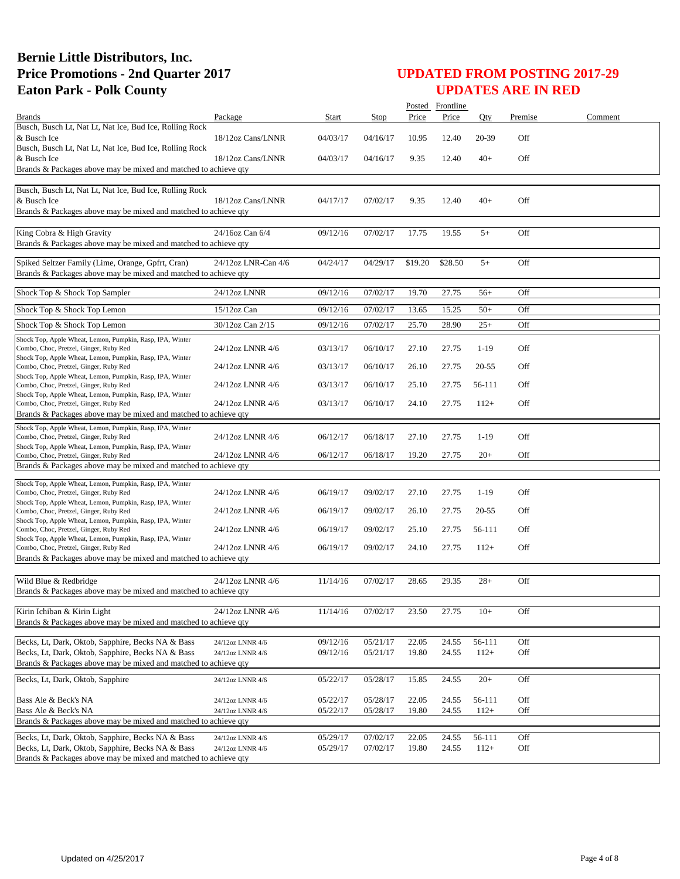|                                                                                                        |                                      |                      |                      |                | Posted Frontline |                  |            |         |
|--------------------------------------------------------------------------------------------------------|--------------------------------------|----------------------|----------------------|----------------|------------------|------------------|------------|---------|
| <b>Brands</b>                                                                                          | Package                              | Start                | Stop                 | Price          | Price            | Oty              | Premise    | Comment |
| Busch, Busch Lt, Nat Lt, Nat Ice, Bud Ice, Rolling Rock<br>& Busch Ice                                 | 18/12oz Cans/LNNR                    | 04/03/17             | 04/16/17             | 10.95          | 12.40            | 20-39            | Off        |         |
| Busch, Busch Lt, Nat Lt, Nat Ice, Bud Ice, Rolling Rock                                                |                                      |                      |                      |                |                  |                  |            |         |
| & Busch Ice<br>Brands & Packages above may be mixed and matched to achieve qty                         | 18/12oz Cans/LNNR                    | 04/03/17             | 04/16/17             | 9.35           | 12.40            | $40+$            | Off        |         |
|                                                                                                        |                                      |                      |                      |                |                  |                  |            |         |
| Busch, Busch Lt, Nat Lt, Nat Ice, Bud Ice, Rolling Rock                                                |                                      |                      |                      |                |                  |                  |            |         |
| & Busch Ice                                                                                            | 18/12oz Cans/LNNR                    | 04/17/17             | 07/02/17             | 9.35           | 12.40            | 40+              | Off        |         |
| Brands & Packages above may be mixed and matched to achieve qty                                        |                                      |                      |                      |                |                  |                  |            |         |
| King Cobra & High Gravity<br>Brands & Packages above may be mixed and matched to achieve qty           | 24/16oz Can 6/4                      | 09/12/16             | 07/02/17             | 17.75          | 19.55            | $5+$             | Off        |         |
| Spiked Seltzer Family (Lime, Orange, Gpfrt, Cran)                                                      | 24/12oz LNR-Can 4/6                  | 04/24/17             | 04/29/17             | \$19.20        | \$28.50          | $5+$             | Off        |         |
| Brands & Packages above may be mixed and matched to achieve qty                                        |                                      |                      |                      |                |                  |                  |            |         |
|                                                                                                        |                                      |                      |                      |                |                  |                  |            |         |
| Shock Top & Shock Top Sampler                                                                          | 24/12oz LNNR                         | 09/12/16             | 07/02/17             | 19.70          | 27.75            | $56+$            | Off        |         |
| Shock Top & Shock Top Lemon                                                                            | 15/12oz Can                          | 09/12/16             | 07/02/17             | 13.65          | 15.25            | $50+$            | Off        |         |
| Shock Top & Shock Top Lemon                                                                            | 30/12oz Can 2/15                     | 09/12/16             | 07/02/17             | 25.70          | 28.90            | $25+$            | Off        |         |
| Shock Top, Apple Wheat, Lemon, Pumpkin, Rasp, IPA, Winter                                              |                                      |                      |                      |                |                  |                  |            |         |
| Combo, Choc, Pretzel, Ginger, Ruby Red                                                                 | 24/12oz LNNR 4/6                     | 03/13/17             | 06/10/17             | 27.10          | 27.75            | $1-19$           | Off        |         |
| Shock Top, Apple Wheat, Lemon, Pumpkin, Rasp, IPA, Winter<br>Combo, Choc, Pretzel, Ginger, Ruby Red    | 24/12oz LNNR 4/6                     | 03/13/17             | 06/10/17             | 26.10          | 27.75            | $20 - 55$        | Off        |         |
| Shock Top, Apple Wheat, Lemon, Pumpkin, Rasp, IPA, Winter                                              |                                      |                      |                      |                |                  |                  |            |         |
| Combo, Choc, Pretzel, Ginger, Ruby Red<br>Shock Top, Apple Wheat, Lemon, Pumpkin, Rasp, IPA, Winter    | 24/12oz LNNR 4/6                     | 03/13/17             | 06/10/17             | 25.10          | 27.75            | 56-111           | Off        |         |
| Combo, Choc, Pretzel, Ginger, Ruby Red                                                                 | 24/12oz LNNR 4/6                     | 03/13/17             | 06/10/17             | 24.10          | 27.75            | $112+$           | Off        |         |
| Brands & Packages above may be mixed and matched to achieve qty                                        |                                      |                      |                      |                |                  |                  |            |         |
| Shock Top, Apple Wheat, Lemon, Pumpkin, Rasp, IPA, Winter                                              |                                      |                      |                      |                |                  |                  |            |         |
| Combo, Choc, Pretzel, Ginger, Ruby Red<br>Shock Top, Apple Wheat, Lemon, Pumpkin, Rasp, IPA, Winter    | 24/12oz LNNR 4/6                     | 06/12/17             | 06/18/17             | 27.10          | 27.75            | $1-19$           | Off        |         |
| Combo, Choc, Pretzel, Ginger, Ruby Red                                                                 | 24/12oz LNNR 4/6                     | 06/12/17             | 06/18/17             | 19.20          | 27.75            | $20+$            | Off        |         |
| Brands & Packages above may be mixed and matched to achieve qty                                        |                                      |                      |                      |                |                  |                  |            |         |
| Shock Top, Apple Wheat, Lemon, Pumpkin, Rasp, IPA, Winter                                              |                                      |                      |                      |                |                  |                  |            |         |
| Combo, Choc, Pretzel, Ginger, Ruby Red                                                                 | 24/12oz LNNR 4/6                     | 06/19/17             | 09/02/17             | 27.10          | 27.75            | $1-19$           | Off        |         |
| Shock Top, Apple Wheat, Lemon, Pumpkin, Rasp, IPA, Winter<br>Combo, Choc, Pretzel, Ginger, Ruby Red    | 24/12oz LNNR 4/6                     | 06/19/17             | 09/02/17             | 26.10          | 27.75            | $20 - 55$        | Off        |         |
| Shock Top, Apple Wheat, Lemon, Pumpkin, Rasp, IPA, Winter                                              |                                      |                      |                      |                |                  |                  |            |         |
| Combo, Choc, Pretzel, Ginger, Ruby Red<br>Shock Top, Apple Wheat, Lemon, Pumpkin, Rasp, IPA, Winter    | 24/12oz LNNR 4/6                     | 06/19/17             | 09/02/17             | 25.10          | 27.75            | 56-111           | Off        |         |
| Combo, Choc, Pretzel, Ginger, Ruby Red                                                                 | 24/12oz LNNR 4/6                     | 06/19/17             | 09/02/17             | 24.10          | 27.75            | $112+$           | Off        |         |
| Brands & Packages above may be mixed and matched to achieve qty                                        |                                      |                      |                      |                |                  |                  |            |         |
|                                                                                                        |                                      |                      |                      |                |                  |                  |            |         |
| Wild Blue & Redbridge<br>Brands & Packages above may be mixed and matched to achieve qty               | 24/12oz LNNR 4/6                     | 11/14/16             | 07/02/17             | 28.65          | 29.35            | $28+$            | Off        |         |
|                                                                                                        |                                      |                      |                      |                |                  |                  |            |         |
| Kirin Ichiban & Kirin Light                                                                            | 24/12oz LNNR 4/6                     | 11/14/16             | 07/02/17             | 23.50          | 27.75            | $10+$            | Off        |         |
| Brands & Packages above may be mixed and matched to achieve gty                                        |                                      |                      |                      |                |                  |                  |            |         |
| Becks, Lt, Dark, Oktob, Sapphire, Becks NA & Bass                                                      | 24/12oz LNNR 4/6                     | 09/12/16             | 05/21/17             | 22.05          | 24.55            | 56-111           | Off        |         |
| Becks, Lt, Dark, Oktob, Sapphire, Becks NA & Bass                                                      | 24/12oz LNNR 4/6                     | 09/12/16             | 05/21/17             | 19.80          | 24.55            | $112+$           | Off        |         |
| Brands & Packages above may be mixed and matched to achieve gty                                        |                                      |                      |                      |                |                  |                  |            |         |
| Becks, Lt, Dark, Oktob, Sapphire                                                                       | 24/12oz LNNR 4/6                     | 05/22/17             | 05/28/17             | 15.85          | 24.55            | $20+$            | Off        |         |
|                                                                                                        |                                      |                      |                      |                |                  |                  |            |         |
| Bass Ale & Beck's NA                                                                                   | 24/12oz LNNR 4/6                     | 05/22/17             | 05/28/17             | 22.05          | 24.55            | 56-111           | Off        |         |
| Bass Ale & Beck's NA<br>Brands & Packages above may be mixed and matched to achieve qty                | 24/12oz LNNR 4/6                     | 05/22/17             | 05/28/17             | 19.80          | 24.55            | $112+$           | Off        |         |
|                                                                                                        |                                      |                      |                      |                |                  |                  |            |         |
| Becks, Lt, Dark, Oktob, Sapphire, Becks NA & Bass<br>Becks, Lt, Dark, Oktob, Sapphire, Becks NA & Bass | 24/12oz LNNR 4/6<br>24/12oz LNNR 4/6 | 05/29/17<br>05/29/17 | 07/02/17<br>07/02/17 | 22.05<br>19.80 | 24.55<br>24.55   | 56-111<br>$112+$ | Off<br>Off |         |
| Brands & Packages above may be mixed and matched to achieve qty                                        |                                      |                      |                      |                |                  |                  |            |         |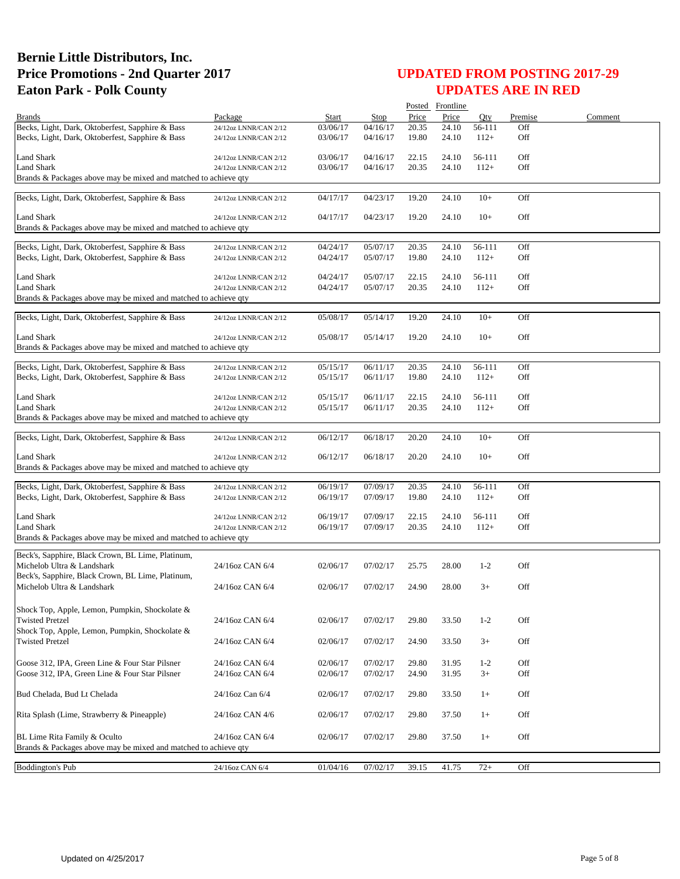|                                                                 |                       |          |          |       | Posted Frontline |         |         |         |
|-----------------------------------------------------------------|-----------------------|----------|----------|-------|------------------|---------|---------|---------|
| <b>Brands</b>                                                   | Package               | Start    | Stop     | Price | Price            | Qty     | Premise | Comment |
| Becks, Light, Dark, Oktoberfest, Sapphire & Bass                | 24/12oz LNNR/CAN 2/12 | 03/06/17 | 04/16/17 | 20.35 | 24.10            | 56-111  | Off     |         |
| Becks, Light, Dark, Oktoberfest, Sapphire & Bass                | 24/12oz LNNR/CAN 2/12 | 03/06/17 | 04/16/17 | 19.80 | 24.10            | $112+$  | Off     |         |
|                                                                 |                       |          |          |       |                  |         |         |         |
| Land Shark                                                      | 24/12oz LNNR/CAN 2/12 | 03/06/17 | 04/16/17 | 22.15 | 24.10            | 56-111  | Off     |         |
| <b>Land Shark</b>                                               | 24/12oz LNNR/CAN 2/12 | 03/06/17 | 04/16/17 | 20.35 | 24.10            | $112+$  | Off     |         |
| Brands & Packages above may be mixed and matched to achieve qty |                       |          |          |       |                  |         |         |         |
| Becks, Light, Dark, Oktoberfest, Sapphire & Bass                | 24/12oz LNNR/CAN 2/12 | 04/17/17 | 04/23/17 | 19.20 | 24.10            | $10+$   | Off     |         |
|                                                                 |                       |          |          |       |                  |         |         |         |
| Land Shark                                                      | 24/12oz LNNR/CAN 2/12 | 04/17/17 | 04/23/17 | 19.20 | 24.10            | $10+$   | Off     |         |
| Brands & Packages above may be mixed and matched to achieve qty |                       |          |          |       |                  |         |         |         |
|                                                                 |                       |          |          |       |                  |         |         |         |
| Becks, Light, Dark, Oktoberfest, Sapphire & Bass                | 24/12oz LNNR/CAN 2/12 | 04/24/17 | 05/07/17 | 20.35 | 24.10            | 56-111  | Off     |         |
| Becks, Light, Dark, Oktoberfest, Sapphire & Bass                | 24/12oz LNNR/CAN 2/12 | 04/24/17 | 05/07/17 | 19.80 | 24.10            | $112+$  | Off     |         |
| Land Shark                                                      | 24/12oz LNNR/CAN 2/12 | 04/24/17 | 05/07/17 | 22.15 | 24.10            | 56-111  | Off     |         |
| <b>Land Shark</b>                                               | 24/12oz LNNR/CAN 2/12 | 04/24/17 | 05/07/17 | 20.35 | 24.10            | $112+$  | Off     |         |
| Brands & Packages above may be mixed and matched to achieve qty |                       |          |          |       |                  |         |         |         |
|                                                                 |                       |          |          |       |                  |         |         |         |
| Becks, Light, Dark, Oktoberfest, Sapphire & Bass                | 24/12oz LNNR/CAN 2/12 | 05/08/17 | 05/14/17 | 19.20 | 24.10            | $10+$   | Off     |         |
|                                                                 |                       |          |          |       |                  |         |         |         |
| Land Shark                                                      | 24/12oz LNNR/CAN 2/12 | 05/08/17 | 05/14/17 | 19.20 | 24.10            | $10+$   | Off     |         |
| Brands & Packages above may be mixed and matched to achieve qty |                       |          |          |       |                  |         |         |         |
| Becks, Light, Dark, Oktoberfest, Sapphire & Bass                | 24/12oz LNNR/CAN 2/12 | 05/15/17 | 06/11/17 | 20.35 | 24.10            | 56-111  | Off     |         |
| Becks, Light, Dark, Oktoberfest, Sapphire & Bass                | 24/12oz LNNR/CAN 2/12 | 05/15/17 | 06/11/17 | 19.80 | 24.10            | $112+$  | Off     |         |
|                                                                 |                       |          |          |       |                  |         |         |         |
| Land Shark                                                      | 24/12oz LNNR/CAN 2/12 | 05/15/17 | 06/11/17 | 22.15 | 24.10            | 56-111  | Off     |         |
| Land Shark                                                      | 24/12oz LNNR/CAN 2/12 | 05/15/17 | 06/11/17 | 20.35 | 24.10            | $112+$  | Off     |         |
| Brands & Packages above may be mixed and matched to achieve qty |                       |          |          |       |                  |         |         |         |
|                                                                 |                       |          |          |       |                  |         |         |         |
| Becks, Light, Dark, Oktoberfest, Sapphire & Bass                | 24/12oz LNNR/CAN 2/12 | 06/12/17 | 06/18/17 | 20.20 | 24.10            | $10+$   | Off     |         |
| Land Shark                                                      |                       | 06/12/17 | 06/18/17 | 20.20 | 24.10            | $10+$   | Off     |         |
| Brands & Packages above may be mixed and matched to achieve qty | 24/12oz LNNR/CAN 2/12 |          |          |       |                  |         |         |         |
|                                                                 |                       |          |          |       |                  |         |         |         |
| Becks, Light, Dark, Oktoberfest, Sapphire & Bass                | 24/12oz LNNR/CAN 2/12 | 06/19/17 | 07/09/17 | 20.35 | 24.10            | 56-111  | Off     |         |
| Becks, Light, Dark, Oktoberfest, Sapphire & Bass                | 24/12oz LNNR/CAN 2/12 | 06/19/17 | 07/09/17 | 19.80 | 24.10            | $112+$  | Off     |         |
|                                                                 |                       |          |          |       |                  |         |         |         |
| Land Shark                                                      | 24/12oz LNNR/CAN 2/12 | 06/19/17 | 07/09/17 | 22.15 | 24.10            | 56-111  | Off     |         |
| Land Shark                                                      | 24/12oz LNNR/CAN 2/12 | 06/19/17 | 07/09/17 | 20.35 | 24.10            | $112+$  | Off     |         |
| Brands & Packages above may be mixed and matched to achieve qty |                       |          |          |       |                  |         |         |         |
| Beck's, Sapphire, Black Crown, BL Lime, Platinum,               |                       |          |          |       |                  |         |         |         |
| Michelob Ultra & Landshark                                      | 24/16oz CAN 6/4       | 02/06/17 | 07/02/17 | 25.75 | 28.00            | $1-2$   | Off     |         |
| Beck's, Sapphire, Black Crown, BL Lime, Platinum,               |                       |          |          |       |                  |         |         |         |
| Michelob Ultra & Landshark                                      | 24/16oz CAN 6/4       | 02/06/17 | 07/02/17 | 24.90 | 28.00            | $3+$    | Off     |         |
|                                                                 |                       |          |          |       |                  |         |         |         |
| Shock Top, Apple, Lemon, Pumpkin, Shockolate &                  |                       |          |          |       |                  |         |         |         |
| <b>Twisted Pretzel</b>                                          | 24/16oz CAN 6/4       | 02/06/17 | 07/02/17 | 29.80 | 33.50            | $1 - 2$ | Off     |         |
| Shock Top, Apple, Lemon, Pumpkin, Shockolate &                  |                       |          |          |       |                  |         |         |         |
| <b>Twisted Pretzel</b>                                          | 24/16oz CAN 6/4       | 02/06/17 | 07/02/17 | 24.90 | 33.50            | $3+$    | Off     |         |
|                                                                 |                       |          |          |       |                  |         |         |         |
| Goose 312, IPA, Green Line & Four Star Pilsner                  | 24/16oz CAN 6/4       | 02/06/17 | 07/02/17 | 29.80 | 31.95            | $1 - 2$ | Off     |         |
| Goose 312, IPA, Green Line & Four Star Pilsner                  | 24/16oz CAN 6/4       | 02/06/17 | 07/02/17 | 24.90 | 31.95            | $3+$    | Off     |         |
|                                                                 |                       |          |          |       |                  |         |         |         |
| Bud Chelada, Bud Lt Chelada                                     | 24/16oz Can 6/4       | 02/06/17 | 07/02/17 | 29.80 | 33.50            | $1+$    | Off     |         |
| Rita Splash (Lime, Strawberry & Pineapple)                      | 24/16oz CAN 4/6       | 02/06/17 | 07/02/17 | 29.80 | 37.50            | $1+$    | Off     |         |
|                                                                 |                       |          |          |       |                  |         |         |         |
| BL Lime Rita Family & Oculto                                    | 24/16oz CAN 6/4       | 02/06/17 | 07/02/17 | 29.80 | 37.50            | $1+$    | Off     |         |
| Brands & Packages above may be mixed and matched to achieve qty |                       |          |          |       |                  |         |         |         |
|                                                                 |                       |          |          |       |                  |         |         |         |
| <b>Boddington's Pub</b>                                         | 24/16oz CAN 6/4       | 01/04/16 | 07/02/17 | 39.15 | 41.75            | $72+$   | Off     |         |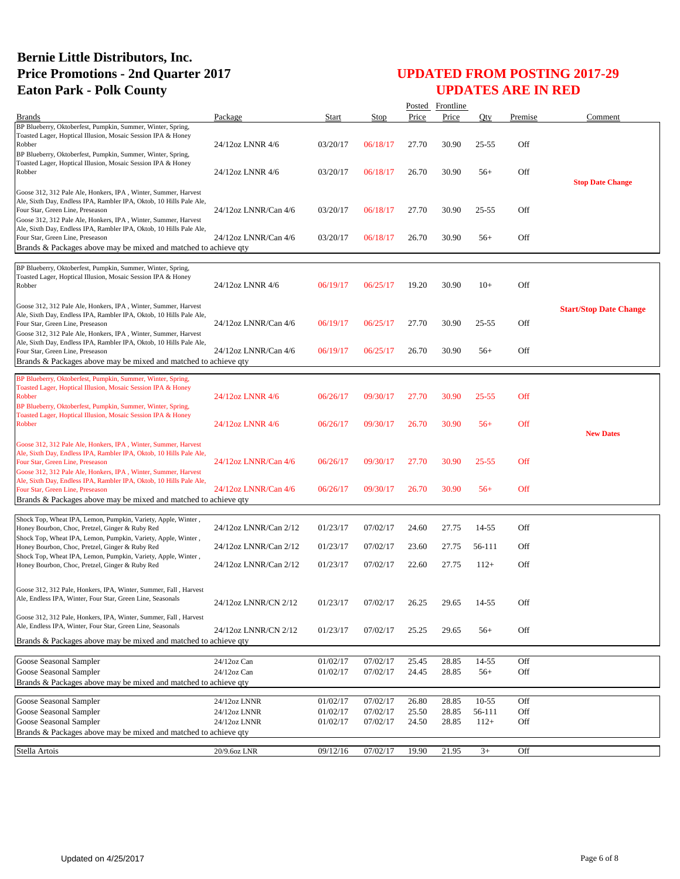|                                                                                                                                                                                                                                             |                              |                      |                      |                | Posted Frontline |                |            |                               |
|---------------------------------------------------------------------------------------------------------------------------------------------------------------------------------------------------------------------------------------------|------------------------------|----------------------|----------------------|----------------|------------------|----------------|------------|-------------------------------|
| <b>Brands</b>                                                                                                                                                                                                                               | Package                      | <b>Start</b>         | Stop                 | Price          | Price            | Oty            | Premise    | Comment                       |
| BP Blueberry, Oktoberfest, Pumpkin, Summer, Winter, Spring,<br>Toasted Lager, Hoptical Illusion, Mosaic Session IPA & Honey<br>Robber<br>BP Blueberry, Oktoberfest, Pumpkin, Summer, Winter, Spring,                                        | 24/12oz LNNR 4/6             | 03/20/17             | 06/18/17             | 27.70          | 30.90            | $25 - 55$      | Off        |                               |
| Toasted Lager, Hoptical Illusion, Mosaic Session IPA & Honey<br>Robber                                                                                                                                                                      | 24/12oz LNNR 4/6             | 03/20/17             | 06/18/17             | 26.70          | 30.90            | $56+$          | Off        | <b>Stop Date Change</b>       |
| Goose 312, 312 Pale Ale, Honkers, IPA, Winter, Summer, Harvest<br>Ale, Sixth Day, Endless IPA, Rambler IPA, Oktob, 10 Hills Pale Ale,<br>Four Star, Green Line, Preseason<br>Goose 312, 312 Pale Ale, Honkers, IPA, Winter, Summer, Harvest | 24/12oz LNNR/Can 4/6         | 03/20/17             | 06/18/17             | 27.70          | 30.90            | 25-55          | Off        |                               |
| Ale, Sixth Day, Endless IPA, Rambler IPA, Oktob, 10 Hills Pale Ale,<br>Four Star, Green Line, Preseason<br>Brands & Packages above may be mixed and matched to achieve qty                                                                  | 24/12oz LNNR/Can 4/6         | 03/20/17             | 06/18/17             | 26.70          | 30.90            | $56+$          | Off        |                               |
| BP Blueberry, Oktoberfest, Pumpkin, Summer, Winter, Spring,                                                                                                                                                                                 |                              |                      |                      |                |                  |                |            |                               |
| Toasted Lager, Hoptical Illusion, Mosaic Session IPA & Honey<br>Robber                                                                                                                                                                      | 24/12oz LNNR 4/6             | 06/19/17             | 06/25/17             | 19.20          | 30.90            | $10+$          | Off        |                               |
| Goose 312, 312 Pale Ale, Honkers, IPA, Winter, Summer, Harvest<br>Ale, Sixth Day, Endless IPA, Rambler IPA, Oktob, 10 Hills Pale Ale,<br>Four Star, Green Line, Preseason<br>Goose 312, 312 Pale Ale, Honkers, IPA, Winter, Summer, Harvest | 24/12oz LNNR/Can 4/6         | 06/19/17             | 06/25/17             | 27.70          | 30.90            | $25 - 55$      | Off        | <b>Start/Stop Date Change</b> |
| Ale, Sixth Day, Endless IPA, Rambler IPA, Oktob, 10 Hills Pale Ale,<br>Four Star, Green Line, Preseason<br>Brands & Packages above may be mixed and matched to achieve gty                                                                  | 24/12oz LNNR/Can 4/6         | 06/19/17             | 06/25/17             | 26.70          | 30.90            | $56+$          | Off        |                               |
| BP Blueberry, Oktoberfest, Pumpkin, Summer, Winter, Spring,<br>Toasted Lager, Hoptical Illusion, Mosaic Session IPA & Honey<br>Robber<br>BP Blueberry, Oktoberfest, Pumpkin, Summer, Winter, Spring,                                        | 24/12oz LNNR 4/6             | 06/26/17             | 09/30/17             | 27.70          | 30.90            | $25 - 55$      | <b>Off</b> |                               |
| Toasted Lager, Hoptical Illusion, Mosaic Session IPA & Honey<br>Robber                                                                                                                                                                      | 24/12oz LNNR 4/6             | 06/26/17             | 09/30/17             | 26.70          | 30.90            | $56+$          | <b>Off</b> | <b>New Dates</b>              |
| Goose 312, 312 Pale Ale, Honkers, IPA, Winter, Summer, Harvest<br>Ale, Sixth Day, Endless IPA, Rambler IPA, Oktob, 10 Hills Pale Ale,<br>Four Star, Green Line, Preseason<br>Goose 312, 312 Pale Ale, Honkers, IPA, Winter, Summer, Harvest | 24/12oz LNNR/Can 4/6         | 06/26/17             | 09/30/17             | 27.70          | 30.90            | $25 - 55$      | <b>Off</b> |                               |
| Ale, Sixth Day, Endless IPA, Rambler IPA, Oktob, 10 Hills Pale Ale,<br>Four Star, Green Line, Preseason<br>Brands & Packages above may be mixed and matched to achieve qty                                                                  | 24/12oz LNNR/Can 4/6         | 06/26/17             | 09/30/17             | 26.70          | 30.90            | $56+$          | Off        |                               |
|                                                                                                                                                                                                                                             |                              |                      |                      |                |                  |                |            |                               |
| Shock Top, Wheat IPA, Lemon, Pumpkin, Variety, Apple, Winter,<br>Honey Bourbon, Choc, Pretzel, Ginger & Ruby Red<br>Shock Top, Wheat IPA, Lemon, Pumpkin, Variety, Apple, Winter,                                                           | 24/12oz LNNR/Can 2/12        | 01/23/17             | 07/02/17             | 24.60          | 27.75            | 14-55          | Off        |                               |
| Honey Bourbon, Choc, Pretzel, Ginger & Ruby Red<br>Shock Top, Wheat IPA, Lemon, Pumpkin, Variety, Apple, Winter,                                                                                                                            | 24/12oz LNNR/Can 2/12        | 01/23/17             | 07/02/17             | 23.60          | 27.75            | 56-111         | Off        |                               |
| Honey Bourbon, Choc, Pretzel, Ginger & Ruby Red                                                                                                                                                                                             | 24/12oz LNNR/Can 2/12        | 01/23/17             | 07/02/17             | 22.60          | 27.75            | $112+$         | Off        |                               |
| Goose 312, 312 Pale, Honkers, IPA, Winter, Summer, Fall, Harvest<br>Ale, Endless IPA, Winter, Four Star, Green Line, Seasonals                                                                                                              | 24/12oz LNNR/CN 2/12         | 01/23/17             | 07/02/17             | 26.25          | 29.65            | $14 - 55$      | Off        |                               |
| Goose 312, 312 Pale, Honkers, IPA, Winter, Summer, Fall, Harvest<br>Ale, Endless IPA, Winter, Four Star, Green Line, Seasonals<br>Brands & Packages above may be mixed and matched to achieve qty                                           | 24/12oz LNNR/CN 2/12         | 01/23/17             | 07/02/17             | 25.25          | 29.65            | $56+$          | Off        |                               |
|                                                                                                                                                                                                                                             |                              |                      |                      |                |                  |                |            |                               |
| Goose Seasonal Sampler<br>Goose Seasonal Sampler<br>Brands & Packages above may be mixed and matched to achieve qty                                                                                                                         | 24/12oz Can<br>24/12oz Can   | 01/02/17<br>01/02/17 | 07/02/17<br>07/02/17 | 25.45<br>24.45 | 28.85<br>28.85   | 14-55<br>$56+$ | Off<br>Off |                               |
| Goose Seasonal Sampler                                                                                                                                                                                                                      |                              | 01/02/17             | 07/02/17             | 26.80          |                  | 10-55          | Off        |                               |
| Goose Seasonal Sampler                                                                                                                                                                                                                      | 24/12oz LNNR<br>24/12oz LNNR | 01/02/17             | 07/02/17             | 25.50          | 28.85<br>28.85   | 56-111         | Off        |                               |
| Goose Seasonal Sampler<br>Brands & Packages above may be mixed and matched to achieve qty                                                                                                                                                   | 24/12oz LNNR                 | 01/02/17             | 07/02/17             | 24.50          | 28.85            | $112+$         | Off        |                               |
| Stella Artois                                                                                                                                                                                                                               | 20/9.6oz LNR                 | 09/12/16             | 07/02/17             | 19.90          | 21.95            | $3+$           | Off        |                               |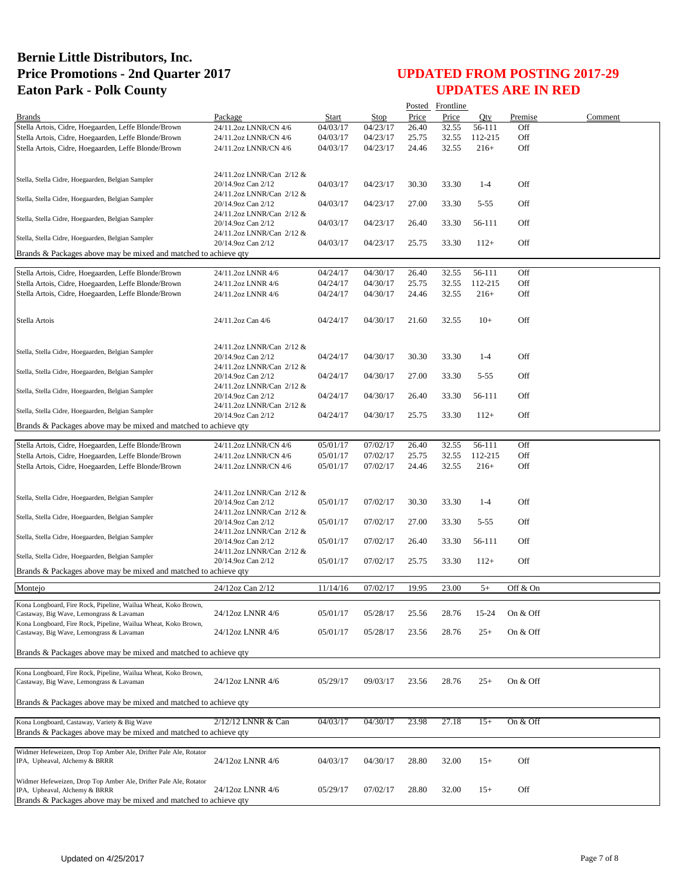|                                                                                                              |                                                 |                      |             |       | Posted Frontline |          |            |         |
|--------------------------------------------------------------------------------------------------------------|-------------------------------------------------|----------------------|-------------|-------|------------------|----------|------------|---------|
| <b>Brands</b>                                                                                                | Package                                         | Start                | <b>Stop</b> | Price | Price            | Oty      | Premise    | Comment |
| Stella Artois, Cidre, Hoegaarden, Leffe Blonde/Brown                                                         | 24/11.2oz LNNR/CN 4/6                           | 04/03/17             | 04/23/17    | 26.40 | 32.55            | 56-111   | Off        |         |
| Stella Artois, Cidre, Hoegaarden, Leffe Blonde/Brown                                                         | 24/11.2oz LNNR/CN 4/6                           | 04/03/17             | 04/23/17    | 25.75 | 32.55            | 112-215  | Off        |         |
| Stella Artois, Cidre, Hoegaarden, Leffe Blonde/Brown                                                         | 24/11.2oz LNNR/CN 4/6                           | 04/03/17             | 04/23/17    | 24.46 | 32.55            | $216+$   | Off        |         |
|                                                                                                              |                                                 |                      |             |       |                  |          |            |         |
| Stella, Stella Cidre, Hoegaarden, Belgian Sampler                                                            | 24/11.2oz LNNR/Can 2/12 &<br>20/14.9oz Can 2/12 | 04/03/17             | 04/23/17    | 30.30 | 33.30            | $1-4$    | Off        |         |
| Stella, Stella Cidre, Hoegaarden, Belgian Sampler                                                            | 24/11.2oz LNNR/Can 2/12 &<br>20/14.9oz Can 2/12 | 04/03/17             | 04/23/17    | 27.00 | 33.30            | $5 - 55$ | Off        |         |
| Stella, Stella Cidre, Hoegaarden, Belgian Sampler                                                            | 24/11.2oz LNNR/Can 2/12 &<br>20/14.9oz Can 2/12 | 04/03/17             | 04/23/17    | 26.40 | 33.30            | 56-111   | Off        |         |
| Stella, Stella Cidre, Hoegaarden, Belgian Sampler                                                            | 24/11.2oz LNNR/Can 2/12 &                       |                      |             |       |                  |          |            |         |
| Brands & Packages above may be mixed and matched to achieve qty                                              | 20/14.9oz Can 2/12                              | 04/03/17             | 04/23/17    | 25.75 | 33.30            | $112+$   | Off        |         |
|                                                                                                              |                                                 |                      |             |       |                  |          |            |         |
| Stella Artois, Cidre, Hoegaarden, Leffe Blonde/Brown                                                         | 24/11.2oz LNNR 4/6                              | 04/24/17             | 04/30/17    | 26.40 | 32.55            | 56-111   | Off        |         |
| Stella Artois, Cidre, Hoegaarden, Leffe Blonde/Brown                                                         | 24/11.2oz LNNR 4/6                              | 04/24/17             | 04/30/17    | 25.75 | 32.55            | 112-215  | Off        |         |
| Stella Artois, Cidre, Hoegaarden, Leffe Blonde/Brown                                                         | 24/11.2oz LNNR 4/6                              | 04/24/17             | 04/30/17    | 24.46 | 32.55            | $216+$   | Off        |         |
|                                                                                                              |                                                 |                      |             |       |                  |          |            |         |
| Stella Artois                                                                                                | 24/11.2oz Can 4/6                               | 04/24/17             | 04/30/17    | 21.60 | 32.55            | $10+$    | Off        |         |
|                                                                                                              | 24/11.2oz LNNR/Can 2/12 &                       |                      |             |       |                  |          |            |         |
| Stella, Stella Cidre, Hoegaarden, Belgian Sampler                                                            | 20/14.9oz Can 2/12                              | 04/24/17             | 04/30/17    | 30.30 | 33.30            | $1 - 4$  | Off        |         |
| Stella, Stella Cidre, Hoegaarden, Belgian Sampler                                                            | 24/11.2oz LNNR/Can 2/12 &                       | 04/24/17             | 04/30/17    | 27.00 | 33.30            | $5 - 55$ | Off        |         |
|                                                                                                              | 20/14.9oz Can 2/12<br>24/11.2oz LNNR/Can 2/12 & |                      |             |       |                  |          |            |         |
| Stella, Stella Cidre, Hoegaarden, Belgian Sampler                                                            | 20/14.9oz Can 2/12<br>24/11.2oz LNNR/Can 2/12 & | 04/24/17             | 04/30/17    | 26.40 | 33.30            | 56-111   | Off        |         |
| Stella, Stella Cidre, Hoegaarden, Belgian Sampler                                                            | 20/14.9oz Can 2/12                              | 04/24/17             | 04/30/17    | 25.75 | 33.30            | $112+$   | Off        |         |
| Brands & Packages above may be mixed and matched to achieve qty                                              |                                                 |                      |             |       |                  |          |            |         |
|                                                                                                              | 24/11.2oz LNNR/CN 4/6                           | 05/01/17             | 07/02/17    | 26.40 | 32.55            | 56-111   | Off        |         |
| Stella Artois, Cidre, Hoegaarden, Leffe Blonde/Brown                                                         |                                                 |                      | 07/02/17    | 25.75 |                  | 112-215  | Off        |         |
| Stella Artois, Cidre, Hoegaarden, Leffe Blonde/Brown<br>Stella Artois, Cidre, Hoegaarden, Leffe Blonde/Brown | 24/11.2oz LNNR/CN 4/6<br>24/11.2oz LNNR/CN 4/6  | 05/01/17<br>05/01/17 | 07/02/17    | 24.46 | 32.55<br>32.55   | $216+$   | Off        |         |
|                                                                                                              |                                                 |                      |             |       |                  |          |            |         |
|                                                                                                              | 24/11.2oz LNNR/Can 2/12 &                       |                      |             |       |                  |          |            |         |
| Stella, Stella Cidre, Hoegaarden, Belgian Sampler                                                            | 20/14.9oz Can 2/12                              | 05/01/17             | 07/02/17    | 30.30 | 33.30            | $1-4$    | Off        |         |
| Stella, Stella Cidre, Hoegaarden, Belgian Sampler                                                            | 24/11.2oz LNNR/Can 2/12 &<br>20/14.9oz Can 2/12 | 05/01/17             | 07/02/17    | 27.00 | 33.30            | $5 - 55$ | Off        |         |
| Stella, Stella Cidre, Hoegaarden, Belgian Sampler                                                            | 24/11.2oz LNNR/Can 2/12 &                       |                      |             |       |                  |          |            |         |
|                                                                                                              | 20/14.9oz Can 2/12<br>24/11.2oz LNNR/Can 2/12 & | 05/01/17             | 07/02/17    | 26.40 | 33.30            | 56-111   | Off        |         |
| Stella, Stella Cidre, Hoegaarden, Belgian Sampler                                                            | 20/14.9oz Can 2/12                              | 05/01/17             | 07/02/17    | 25.75 | 33.30            | $112+$   | Off        |         |
| Brands & Packages above may be mixed and matched to achieve qty                                              |                                                 |                      |             |       |                  |          |            |         |
| Montejo                                                                                                      | 24/12oz Can 2/12                                | 11/14/16             | 07/02/17    | 19.95 | 23.00            | $5+$     | Off & On   |         |
| Kona Longboard, Fire Rock, Pipeline, Wailua Wheat, Koko Brown,                                               |                                                 |                      |             |       |                  |          |            |         |
| Castaway, Big Wave, Lemongrass & Lavaman<br>Kona Longboard, Fire Rock, Pipeline, Wailua Wheat, Koko Brown,   | 24/12oz LNNR 4/6                                | 05/01/17             | 05/28/17    | 25.56 | 28.76            | 15-24    | On & Off   |         |
| Castaway, Big Wave, Lemongrass & Lavaman                                                                     | 24/12oz LNNR 4/6                                | 05/01/17             | 05/28/17    | 23.56 | 28.76            | $25+$    | On & Off   |         |
| Brands & Packages above may be mixed and matched to achieve qty                                              |                                                 |                      |             |       |                  |          |            |         |
|                                                                                                              |                                                 |                      |             |       |                  |          |            |         |
| Kona Longboard, Fire Rock, Pipeline, Wailua Wheat, Koko Brown,                                               |                                                 |                      |             |       |                  |          |            |         |
| Castaway, Big Wave, Lemongrass & Lavaman                                                                     | 24/12oz LNNR 4/6                                | 05/29/17             | 09/03/17    | 23.56 | 28.76            | $^{25+}$ | On $&$ Off |         |
| Brands & Packages above may be mixed and matched to achieve qty                                              |                                                 |                      |             |       |                  |          |            |         |
| Kona Longboard, Castaway, Variety & Big Wave                                                                 | 2/12/12 LNNR & Can                              | 04/03/17             | 04/30/17    | 23.98 | 27.18            | $15+$    | On & Off   |         |
| Brands & Packages above may be mixed and matched to achieve qty                                              |                                                 |                      |             |       |                  |          |            |         |
|                                                                                                              |                                                 |                      |             |       |                  |          |            |         |
| Widmer Hefeweizen, Drop Top Amber Ale, Drifter Pale Ale, Rotator<br>IPA, Upheaval, Alchemy & BRRR            | 24/12oz LNNR 4/6                                | 04/03/17             | 04/30/17    | 28.80 | 32.00            | $15+$    | Off        |         |
|                                                                                                              |                                                 |                      |             |       |                  |          |            |         |
| Widmer Hefeweizen, Drop Top Amber Ale, Drifter Pale Ale, Rotator<br>IPA, Upheaval, Alchemy & BRRR            | 24/12oz LNNR 4/6                                |                      | 07/02/17    | 28.80 | 32.00            | $15+$    | Off        |         |
| Brands & Packages above may be mixed and matched to achieve qty                                              |                                                 | 05/29/17             |             |       |                  |          |            |         |